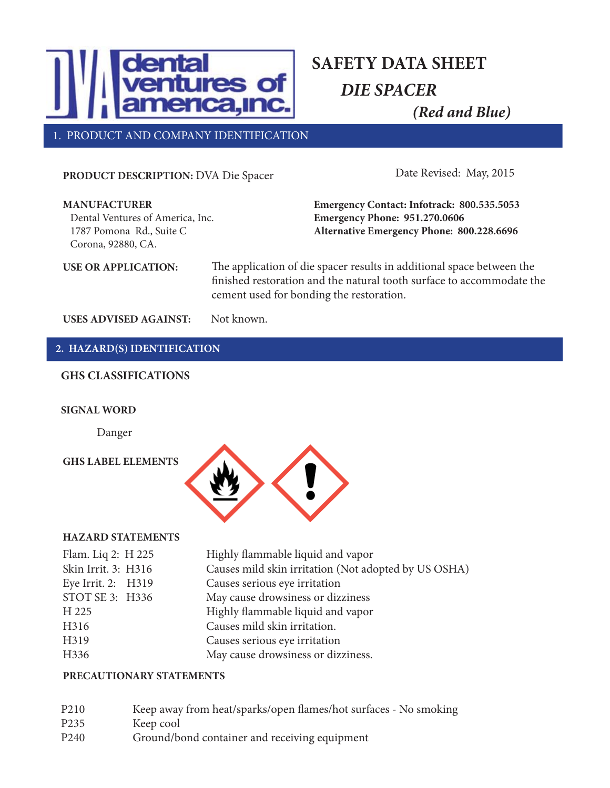

1. PRODUCT AND COMPANY IDENTIFICATION

**PRODUCT DESCRIPTION:** DVA Die Spacer

Date Revised: May, 2015

| <b>MANUFACTURER</b><br>Dental Ventures of America, Inc.<br>1787 Pomona Rd., Suite C<br>Corona, 92880, CA. | Emergency Contact: Infotrack: 800.535.5053<br><b>Emergency Phone: 951.270.0606</b><br>Alternative Emergency Phone: 800.228.6696                                                            |  |
|-----------------------------------------------------------------------------------------------------------|--------------------------------------------------------------------------------------------------------------------------------------------------------------------------------------------|--|
| <b>USE OR APPLICATION:</b>                                                                                | The application of die spacer results in additional space between the<br>finished restoration and the natural tooth surface to accommodate the<br>cement used for bonding the restoration. |  |

USES ADVISED AGAINST: Not known.

### **2. HAZARD(S) IDENTIFICATION**

#### **GHS CLASSIFICATIONS**

#### **SIGNAL WORD**

Danger

#### **GHS LABEL ELEMENTS**



#### **HAZARD STATEMENTS**

| Flam. Liq 2: H 225  | Highly flammable liquid and vapor                    |
|---------------------|------------------------------------------------------|
| Skin Irrit. 3: H316 | Causes mild skin irritation (Not adopted by US OSHA) |
| Eye Irrit. 2: H319  | Causes serious eye irritation                        |
| STOT SE 3: H336     | May cause drowsiness or dizziness                    |
| H 225               | Highly flammable liquid and vapor                    |
| H316                | Causes mild skin irritation.                         |
| H319                | Causes serious eye irritation                        |
| H336                | May cause drowsiness or dizziness.                   |
|                     |                                                      |

#### **PRECAUTIONARY STATEMENTS**

| P <sub>2</sub> 10 | Keep away from heat/sparks/open flames/hot surfaces - No smoking |
|-------------------|------------------------------------------------------------------|
| P <sub>235</sub>  | Keep cool                                                        |
| P <sub>240</sub>  | Ground/bond container and receiving equipment                    |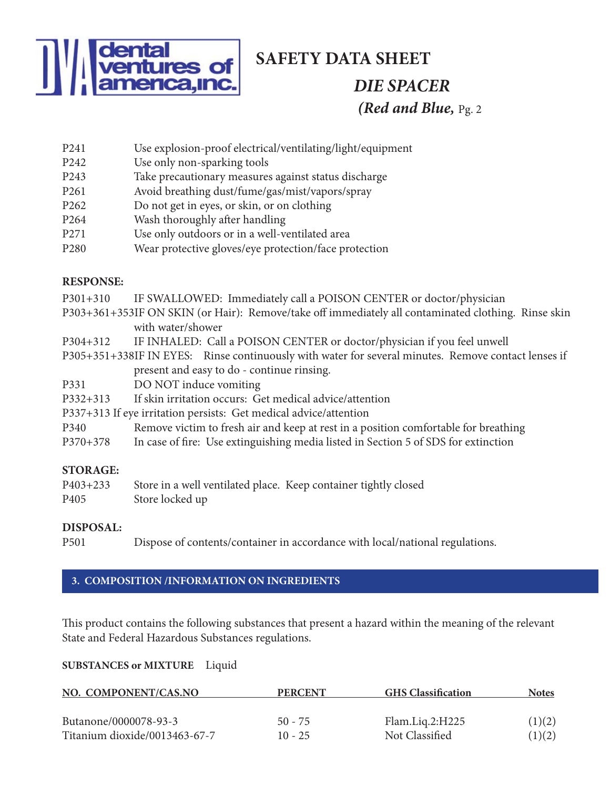

## **SAFETY DATA SHEET**

# *DIE SPACER (Red and Blue,* Pg. 2

- P241 Use explosion-proof electrical/ventilating/light/equipment
- P242 Use only non-sparking tools
- P243 Take precautionary measures against status discharge
- P261 Avoid breathing dust/fume/gas/mist/vapors/spray
- P262 Do not get in eyes, or skin, or on clothing
- P264 Wash thoroughly after handling
- P271 Use only outdoors or in a well-ventilated area
- P280 Wear protective gloves/eye protection/face protection

### **RESPONSE:**

| IALOI UNUL.     |                                                                                                                          |
|-----------------|--------------------------------------------------------------------------------------------------------------------------|
| $P301+310$      | IF SWALLOWED: Immediately call a POISON CENTER or doctor/physician                                                       |
|                 | P303+361+353IF ON SKIN (or Hair): Remove/take off immediately all contaminated clothing. Rinse skin<br>with water/shower |
|                 |                                                                                                                          |
| P304+312        | IF INHALED: Call a POISON CENTER or doctor/physician if you feel unwell                                                  |
|                 | P305+351+338IF IN EYES: Rinse continuously with water for several minutes. Remove contact lenses if                      |
|                 | present and easy to do - continue rinsing.                                                                               |
| P331            | DO NOT induce vomiting                                                                                                   |
| $P332+313$      | If skin irritation occurs: Get medical advice/attention                                                                  |
|                 | P337+313 If eye irritation persists: Get medical advice/attention                                                        |
| P340            | Remove victim to fresh air and keep at rest in a position comfortable for breathing                                      |
| $P370+378$      | In case of fire: Use extinguishing media listed in Section 5 of SDS for extinction                                       |
| <b>STORAGE:</b> |                                                                                                                          |

### **STORAGE:**

| P403+233         | Store in a well ventilated place. Keep container tightly closed |  |
|------------------|-----------------------------------------------------------------|--|
| P <sub>405</sub> | Store locked up                                                 |  |

### **DISPOSAL:**

P501 Dispose of contents/container in accordance with local/national regulations.

## **3. COMPOSITION /INFORMATION ON INGREDIENTS**

This product contains the following substances that present a hazard within the meaning of the relevant State and Federal Hazardous Substances regulations.

### **SUBSTANCES or MIXTURE** Liquid

| NO. COMPONENT/CAS.NO          | <b>PERCENT</b> | <b>GHS</b> Classification | <b>Notes</b> |
|-------------------------------|----------------|---------------------------|--------------|
| Butanone/0000078-93-3         | $50 - 75$      | Flam.Liq.2:H225           | (1)(2)       |
| Titanium dioxide/0013463-67-7 | $10 - 25$      | Not Classified            | (1)(2)       |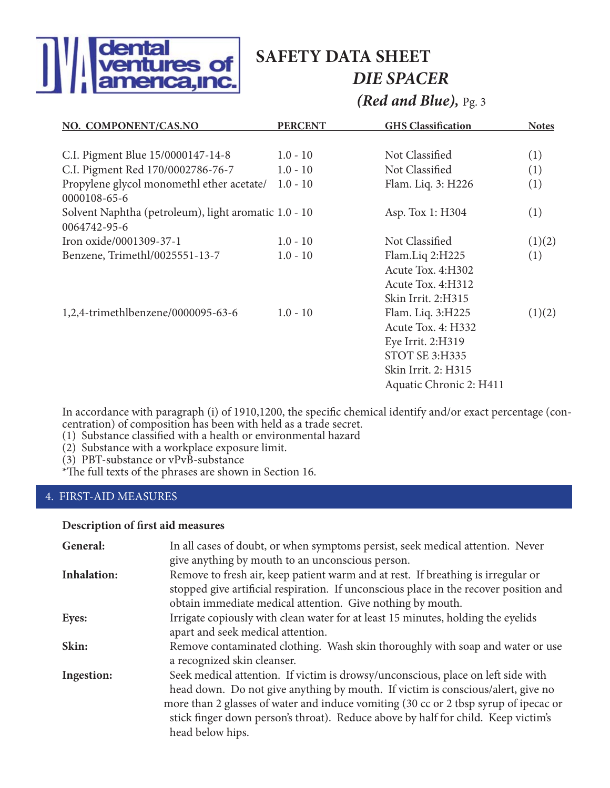

# **SAFETY DATA SHEET** *DIE SPACER*

*(Red and Blue),* Pg. 3

| NO. COMPONENT/CAS.NO                                                 | <b>PERCENT</b> | <b>GHS Classification</b>                                                                                                        | <b>Notes</b> |
|----------------------------------------------------------------------|----------------|----------------------------------------------------------------------------------------------------------------------------------|--------------|
| C.I. Pigment Blue 15/0000147-14-8                                    | $1.0 - 10$     | Not Classified                                                                                                                   | (1)          |
| C.I. Pigment Red 170/0002786-76-7                                    | $1.0 - 10$     | Not Classified                                                                                                                   | (1)          |
| Propylene glycol monomethl ether acetate/ 1.0 - 10<br>0000108-65-6   |                | Flam. Liq. 3: H226                                                                                                               | (1)          |
| Solvent Naphtha (petroleum), light aromatic 1.0 - 10<br>0064742-95-6 |                | Asp. Tox 1: H304                                                                                                                 | (1)          |
| Iron oxide/0001309-37-1                                              | $1.0 - 10$     | Not Classified                                                                                                                   | (1)(2)       |
| Benzene, Trimethl/0025551-13-7                                       | $1.0 - 10$     | Flam.Liq 2:H225<br>Acute Tox. 4:H302<br>Acute Tox. 4:H312<br>Skin Irrit. 2:H315                                                  | (1)          |
| 1,2,4-trimethlbenzene/0000095-63-6                                   | $1.0 - 10$     | Flam. Liq. 3:H225<br>Acute Tox. 4: H332<br>Eye Irrit. 2:H319<br>STOT SE 3:H335<br>Skin Irrit. 2: H315<br>Aquatic Chronic 2: H411 | (1)(2)       |

In accordance with paragraph (i) of 1910,1200, the specific chemical identify and/or exact percentage (concentration) of composition has been with held as a trade secret.

(1) Substance classified with a health or environmental hazard

(2) Substance with a workplace exposure limit.

(3) PBT-substance or vPvB-substance

\*The full texts of the phrases are shown in Section 16.

#### 4. FIRST-AID MEASURES

#### **Description of first aid measures**

| General:           | In all cases of doubt, or when symptoms persist, seek medical attention. Never        |  |  |
|--------------------|---------------------------------------------------------------------------------------|--|--|
|                    | give anything by mouth to an unconscious person.                                      |  |  |
| <b>Inhalation:</b> | Remove to fresh air, keep patient warm and at rest. If breathing is irregular or      |  |  |
|                    | stopped give artificial respiration. If unconscious place in the recover position and |  |  |
|                    | obtain immediate medical attention. Give nothing by mouth.                            |  |  |
| Eyes:              | Irrigate copiously with clean water for at least 15 minutes, holding the eyelids      |  |  |
|                    | apart and seek medical attention.                                                     |  |  |
| Skin:              | Remove contaminated clothing. Wash skin thoroughly with soap and water or use         |  |  |
|                    | a recognized skin cleanser.                                                           |  |  |
| Ingestion:         | Seek medical attention. If victim is drowsy/unconscious, place on left side with      |  |  |
|                    | head down. Do not give anything by mouth. If victim is conscious/alert, give no       |  |  |
|                    | more than 2 glasses of water and induce vomiting (30 cc or 2 tbsp syrup of ipecac or  |  |  |
|                    | stick finger down person's throat). Reduce above by half for child. Keep victim's     |  |  |
|                    | head below hips.                                                                      |  |  |
|                    |                                                                                       |  |  |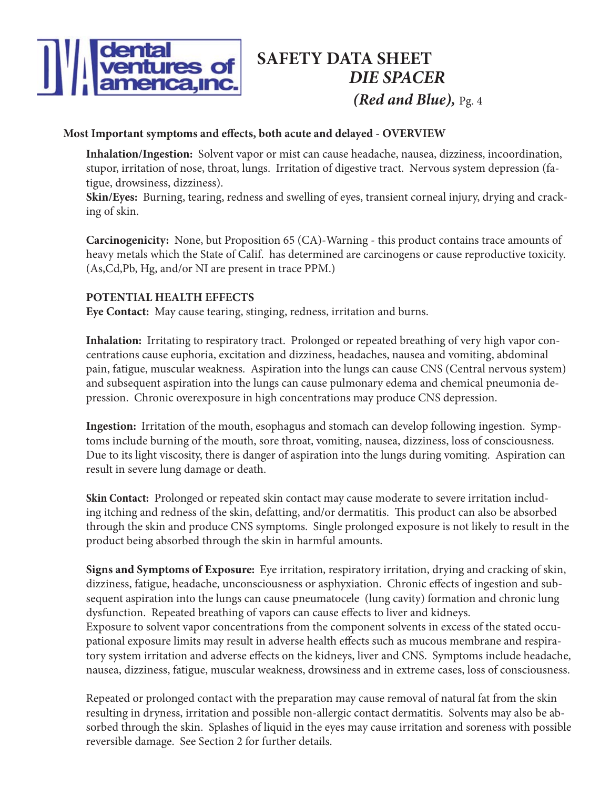

#### **Most Important symptoms and effects, both acute and delayed - OVERVIEW**

**Inhalation/Ingestion:** Solvent vapor or mist can cause headache, nausea, dizziness, incoordination, stupor, irritation of nose, throat, lungs. Irritation of digestive tract. Nervous system depression (fatigue, drowsiness, dizziness).

**Skin/Eyes:** Burning, tearing, redness and swelling of eyes, transient corneal injury, drying and cracking of skin.

**Carcinogenicity:** None, but Proposition 65 (CA)-Warning - this product contains trace amounts of heavy metals which the State of Calif. has determined are carcinogens or cause reproductive toxicity. (As,Cd,Pb, Hg, and/or NI are present in trace PPM.)

#### **POTENTIAL HEALTH EFFECTS**

**Eye Contact:** May cause tearing, stinging, redness, irritation and burns.

**Inhalation:** Irritating to respiratory tract. Prolonged or repeated breathing of very high vapor concentrations cause euphoria, excitation and dizziness, headaches, nausea and vomiting, abdominal pain, fatigue, muscular weakness. Aspiration into the lungs can cause CNS (Central nervous system) and subsequent aspiration into the lungs can cause pulmonary edema and chemical pneumonia depression. Chronic overexposure in high concentrations may produce CNS depression.

**Ingestion:** Irritation of the mouth, esophagus and stomach can develop following ingestion. Symptoms include burning of the mouth, sore throat, vomiting, nausea, dizziness, loss of consciousness. Due to its light viscosity, there is danger of aspiration into the lungs during vomiting. Aspiration can result in severe lung damage or death.

**Skin Contact:** Prolonged or repeated skin contact may cause moderate to severe irritation including itching and redness of the skin, defatting, and/or dermatitis. This product can also be absorbed through the skin and produce CNS symptoms. Single prolonged exposure is not likely to result in the product being absorbed through the skin in harmful amounts.

**Signs and Symptoms of Exposure:** Eye irritation, respiratory irritation, drying and cracking of skin, dizziness, fatigue, headache, unconsciousness or asphyxiation. Chronic effects of ingestion and subsequent aspiration into the lungs can cause pneumatocele (lung cavity) formation and chronic lung dysfunction. Repeated breathing of vapors can cause effects to liver and kidneys. Exposure to solvent vapor concentrations from the component solvents in excess of the stated occupational exposure limits may result in adverse health effects such as mucous membrane and respiratory system irritation and adverse effects on the kidneys, liver and CNS. Symptoms include headache, nausea, dizziness, fatigue, muscular weakness, drowsiness and in extreme cases, loss of consciousness.

Repeated or prolonged contact with the preparation may cause removal of natural fat from the skin resulting in dryness, irritation and possible non-allergic contact dermatitis. Solvents may also be absorbed through the skin. Splashes of liquid in the eyes may cause irritation and soreness with possible reversible damage. See Section 2 for further details.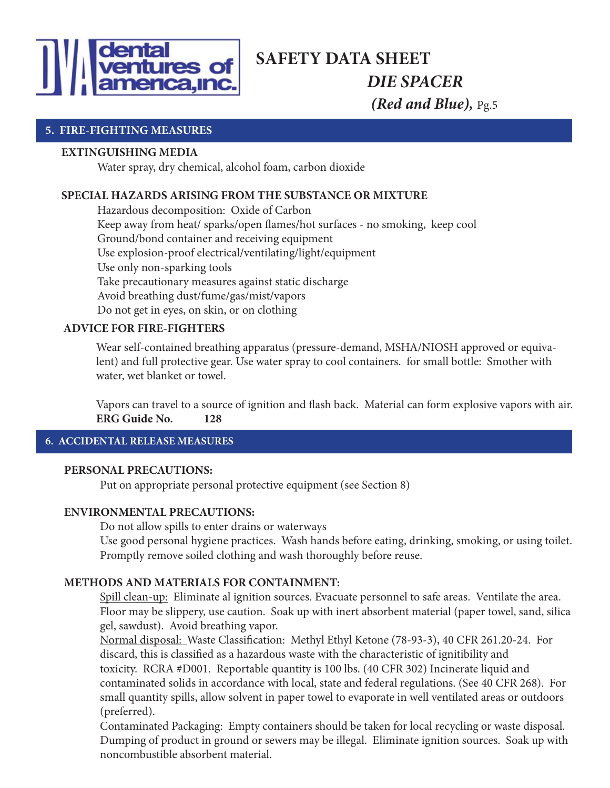

#### **5. FIRE-FIGHTING MEASURES**

#### **EXTINGUISHING MEDIA**

Water spray, dry chemical, alcohol foam, carbon dioxide

#### **SPECIAL HAZARDS ARISING FROM THE SUBSTANCE OR MIXTURE**

 Hazardous decomposition: Oxide of Carbon Keep away from heat/ sparks/open flames/hot surfaces - no smoking, keep cool Ground/bond container and receiving equipment Use explosion-proof electrical/ventilating/light/equipment Use only non-sparking tools Take precautionary measures against static discharge Avoid breathing dust/fume/gas/mist/vapors Do not get in eyes, on skin, or on clothing

#### **ADVICE FOR FIRE-FIGHTERS**

Wear self-contained breathing apparatus (pressure-demand, MSHA/NIOSH approved or equivalent) and full protective gear. Use water spray to cool containers. for small bottle: Smother with water, wet blanket or towel.

Vapors can travel to a source of ignition and flash back. Material can form explosive vapors with air. **ERG Guide No. 128**

#### **6. ACCIDENTAL RELEASE MEASURES**

#### **PERSONAL PRECAUTIONS:**

Put on appropriate personal protective equipment (see Section 8)

#### **ENVIRONMENTAL PRECAUTIONS:**

Do not allow spills to enter drains or waterways

 Use good personal hygiene practices. Wash hands before eating, drinking, smoking, or using toilet. Promptly remove soiled clothing and wash thoroughly before reuse.

#### **METHODS AND MATERIALS FOR CONTAINMENT:**

Spill clean-up: Eliminate al ignition sources. Evacuate personnel to safe areas. Ventilate the area. Floor may be slippery, use caution. Soak up with inert absorbent material (paper towel, sand, silica gel, sawdust). Avoid breathing vapor.

Normal disposal: Waste Classification: Methyl Ethyl Ketone (78-93-3), 40 CFR 261.20-24. For discard, this is classified as a hazardous waste with the characteristic of ignitibility and toxicity. RCRA #D001. Reportable quantity is 100 lbs. (40 CFR 302) Incinerate liquid and contaminated solids in accordance with local, state and federal regulations. (See 40 CFR 268). For small quantity spills, allow solvent in paper towel to evaporate in well ventilated areas or outdoors (preferred).

 Contaminated Packaging: Empty containers should be taken for local recycling or waste disposal. Dumping of product in ground or sewers may be illegal. Eliminate ignition sources. Soak up with noncombustible absorbent material.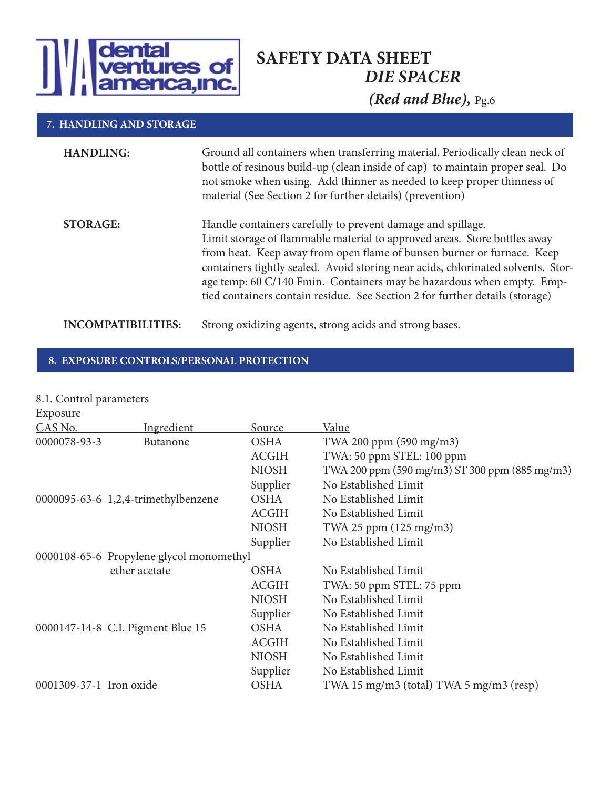

#### **7. HANDLING AND STORAGE**

| <b>HANDLING:</b>          | Ground all containers when transferring material. Periodically clean neck of<br>bottle of resinous build-up (clean inside of cap) to maintain proper seal. Do<br>not smoke when using. Add thinner as needed to keep proper thinness of<br>material (See Section 2 for further details) (prevention)                                                                                                                                                            |
|---------------------------|-----------------------------------------------------------------------------------------------------------------------------------------------------------------------------------------------------------------------------------------------------------------------------------------------------------------------------------------------------------------------------------------------------------------------------------------------------------------|
| <b>STORAGE:</b>           | Handle containers carefully to prevent damage and spillage.<br>Limit storage of flammable material to approved areas. Store bottles away<br>from heat. Keep away from open flame of bunsen burner or furnace. Keep<br>containers tightly sealed. Avoid storing near acids, chlorinated solvents. Stor-<br>age temp: 60 C/140 Fmin. Containers may be hazardous when empty. Emp-<br>tied containers contain residue. See Section 2 for further details (storage) |
| <b>INCOMPATIBILITIES:</b> | Strong oxidizing agents, strong acids and strong bases.                                                                                                                                                                                                                                                                                                                                                                                                         |

#### **8. EXPOSURE CONTROLS/PERSONAL PROTECTION**

| 8.1. Control parameters |                                          |              |                                                |
|-------------------------|------------------------------------------|--------------|------------------------------------------------|
| Exposure                |                                          |              |                                                |
| CAS No.                 | Ingredient                               | Source       | Value                                          |
| 0000078-93-3            | Butanone                                 | <b>OSHA</b>  | TWA 200 ppm (590 mg/m3)                        |
|                         |                                          | <b>ACGIH</b> | TWA: 50 ppm STEL: 100 ppm                      |
|                         |                                          | <b>NIOSH</b> | TWA 200 ppm (590 mg/m3) ST 300 ppm (885 mg/m3) |
|                         |                                          | Supplier     | No Established Limit                           |
|                         | 0000095-63-6 1,2,4-trimethylbenzene      | <b>OSHA</b>  | No Established Limit                           |
|                         |                                          | <b>ACGIH</b> | No Established Limit                           |
|                         |                                          | <b>NIOSH</b> | TWA 25 ppm (125 mg/m3)                         |
|                         |                                          | Supplier     | No Established Limit                           |
|                         | 0000108-65-6 Propylene glycol monomethyl |              |                                                |
|                         | ether acetate                            | <b>OSHA</b>  | No Established Limit                           |
|                         |                                          | <b>ACGIH</b> | TWA: 50 ppm STEL: 75 ppm                       |
|                         |                                          | <b>NIOSH</b> | No Established Limit                           |
|                         |                                          | Supplier     | No Established Limit                           |
|                         | 0000147-14-8 C.I. Pigment Blue 15        | <b>OSHA</b>  | No Established Limit                           |
|                         |                                          | <b>ACGIH</b> | No Established Limit                           |
|                         |                                          | <b>NIOSH</b> | No Established Limit                           |
|                         |                                          | Supplier     | No Established Limit                           |
| 0001309-37-1 Iron oxide |                                          | <b>OSHA</b>  | TWA 15 mg/m3 (total) TWA 5 mg/m3 (resp)        |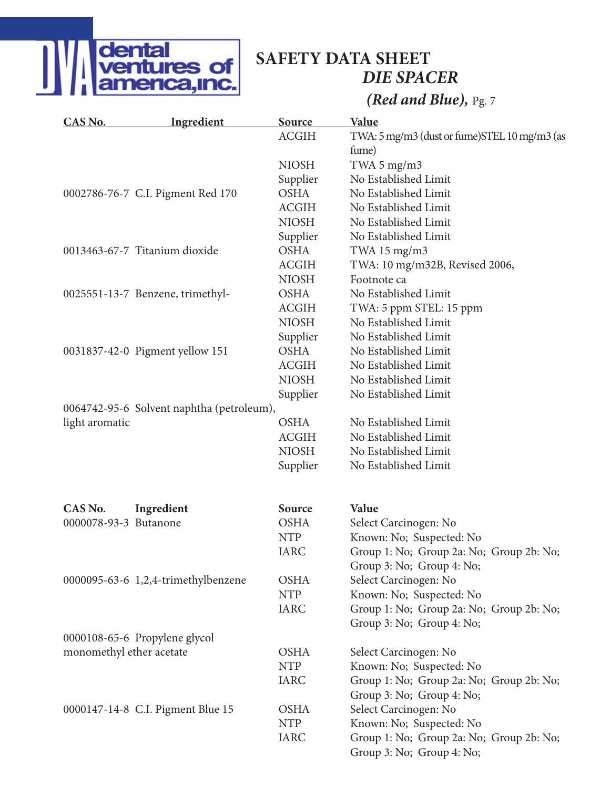

# **SAFETY DATA SHEET** *DIE SPACER*

## *(Red and Blue),* Pg. 7

| CAS No.                  | <b>Ingredient</b>                         | Source       | <b>Value</b>                                 |
|--------------------------|-------------------------------------------|--------------|----------------------------------------------|
|                          |                                           | <b>ACGIH</b> | TWA: 5 mg/m3 (dust or fume)STEL 10 mg/m3 (as |
|                          |                                           |              | fume)                                        |
|                          |                                           | <b>NIOSH</b> | TWA $5 \text{ mg/m}$ 3                       |
|                          |                                           | Supplier     | No Established Limit                         |
|                          | 0002786-76-7 C.I. Pigment Red 170         | <b>OSHA</b>  | No Established Limit                         |
|                          |                                           | <b>ACGIH</b> | No Established Limit                         |
|                          |                                           | <b>NIOSH</b> | No Established Limit                         |
|                          |                                           | Supplier     | No Established Limit                         |
|                          | 0013463-67-7 Titanium dioxide             | <b>OSHA</b>  | TWA $15 \text{ mg/m}$ 3                      |
|                          |                                           | <b>ACGIH</b> | TWA: 10 mg/m32B, Revised 2006,               |
|                          |                                           | <b>NIOSH</b> | Footnote ca                                  |
|                          | 0025551-13-7 Benzene, trimethyl-          | <b>OSHA</b>  | No Established Limit                         |
|                          |                                           | <b>ACGIH</b> | TWA: 5 ppm STEL: 15 ppm                      |
|                          |                                           | <b>NIOSH</b> | No Established Limit                         |
|                          |                                           | Supplier     | No Established Limit                         |
|                          | 0031837-42-0 Pigment yellow 151           | <b>OSHA</b>  | No Established Limit                         |
|                          |                                           | <b>ACGIH</b> | No Established Limit                         |
|                          |                                           | <b>NIOSH</b> | No Established Limit                         |
|                          |                                           | Supplier     | No Established Limit                         |
|                          | 0064742-95-6 Solvent naphtha (petroleum), |              |                                              |
| light aromatic           |                                           | <b>OSHA</b>  | No Established Limit                         |
|                          |                                           | <b>ACGIH</b> | No Established Limit                         |
|                          |                                           | <b>NIOSH</b> | No Established Limit                         |
|                          |                                           | Supplier     | No Established Limit                         |
|                          |                                           |              |                                              |
| CAS No.                  | Ingredient                                | Source       | Value                                        |
| 0000078-93-3 Butanone    |                                           | <b>OSHA</b>  | Select Carcinogen: No                        |
|                          |                                           | <b>NTP</b>   | Known: No; Suspected: No                     |
|                          |                                           | <b>IARC</b>  | Group 1: No; Group 2a: No; Group 2b: No;     |
|                          |                                           |              | Group 3: No; Group 4: No;                    |
|                          | 0000095-63-6 1,2,4-trimethylbenzene       | <b>OSHA</b>  | Select Carcinogen: No                        |
|                          |                                           | <b>NTP</b>   | Known: No; Suspected: No                     |
|                          |                                           | <b>IARC</b>  | Group 1: No; Group 2a: No; Group 2b: No;     |
|                          |                                           |              | Group 3: No; Group 4: No;                    |
|                          | 0000108-65-6 Propylene glycol             |              |                                              |
| monomethyl ether acetate |                                           | <b>OSHA</b>  | Select Carcinogen: No                        |
|                          |                                           | <b>NTP</b>   | Known: No; Suspected: No                     |
|                          |                                           | <b>IARC</b>  | Group 1: No; Group 2a: No; Group 2b: No;     |
|                          |                                           |              | Group 3: No; Group 4: No;                    |
|                          | 0000147-14-8 C.I. Pigment Blue 15         | <b>OSHA</b>  | Select Carcinogen: No                        |
|                          |                                           | <b>NTP</b>   | Known: No; Suspected: No                     |
|                          |                                           | <b>IARC</b>  | Group 1: No; Group 2a: No; Group 2b: No;     |
|                          |                                           |              | Group 3: No; Group 4: No;                    |
|                          |                                           |              |                                              |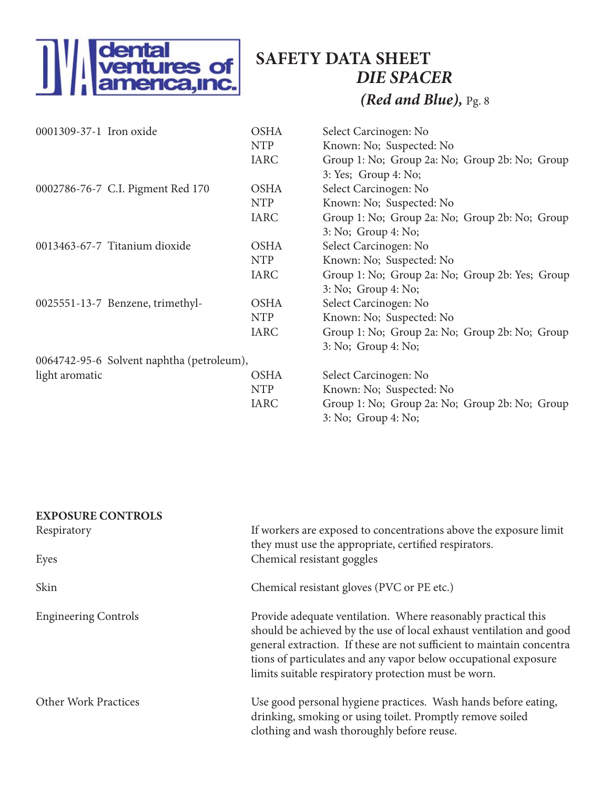

## *DIE SPACER (Red and Blue),* Pg. 8 **SAFETY DATA SHEET**

| 0001309-37-1 Iron oxide                   | <b>OSHA</b> | Select Carcinogen: No                           |
|-------------------------------------------|-------------|-------------------------------------------------|
|                                           | <b>NTP</b>  | Known: No; Suspected: No                        |
|                                           | <b>IARC</b> | Group 1: No; Group 2a: No; Group 2b: No; Group  |
|                                           |             | 3: Yes; Group 4: No;                            |
| 0002786-76-7 C.I. Pigment Red 170         | <b>OSHA</b> | Select Carcinogen: No                           |
|                                           | <b>NTP</b>  | Known: No; Suspected: No                        |
|                                           | <b>IARC</b> | Group 1: No; Group 2a: No; Group 2b: No; Group  |
|                                           |             | 3: No; Group 4: No;                             |
| 0013463-67-7 Titanium dioxide             | <b>OSHA</b> | Select Carcinogen: No                           |
|                                           | <b>NTP</b>  | Known: No; Suspected: No                        |
|                                           | <b>IARC</b> | Group 1: No; Group 2a: No; Group 2b: Yes; Group |
|                                           |             | 3: No; Group 4: No;                             |
| 0025551-13-7 Benzene, trimethyl-          | <b>OSHA</b> | Select Carcinogen: No                           |
|                                           | <b>NTP</b>  | Known: No; Suspected: No                        |
|                                           | <b>IARC</b> | Group 1: No; Group 2a: No; Group 2b: No; Group  |
|                                           |             | 3: No; Group 4: No;                             |
| 0064742-95-6 Solvent naphtha (petroleum), |             |                                                 |
| light aromatic                            | <b>OSHA</b> | Select Carcinogen: No                           |
|                                           | <b>NTP</b>  | Known: No; Suspected: No                        |
|                                           | <b>IARC</b> | Group 1: No; Group 2a: No; Group 2b: No; Group  |
|                                           |             | 3: No; Group 4: No;                             |

| <b>EXPOSURE CONTROLS</b>    |                                                                                                                                                                                                                                                                                                                                          |
|-----------------------------|------------------------------------------------------------------------------------------------------------------------------------------------------------------------------------------------------------------------------------------------------------------------------------------------------------------------------------------|
| Respiratory                 | If workers are exposed to concentrations above the exposure limit                                                                                                                                                                                                                                                                        |
|                             | they must use the appropriate, certified respirators.                                                                                                                                                                                                                                                                                    |
| Eyes                        | Chemical resistant goggles                                                                                                                                                                                                                                                                                                               |
| Skin                        | Chemical resistant gloves (PVC or PE etc.)                                                                                                                                                                                                                                                                                               |
| <b>Engineering Controls</b> | Provide adequate ventilation. Where reasonably practical this<br>should be achieved by the use of local exhaust ventilation and good<br>general extraction. If these are not sufficient to maintain concentra<br>tions of particulates and any vapor below occupational exposure<br>limits suitable respiratory protection must be worn. |
| <b>Other Work Practices</b> | Use good personal hygiene practices. Wash hands before eating,<br>drinking, smoking or using toilet. Promptly remove soiled<br>clothing and wash thoroughly before reuse.                                                                                                                                                                |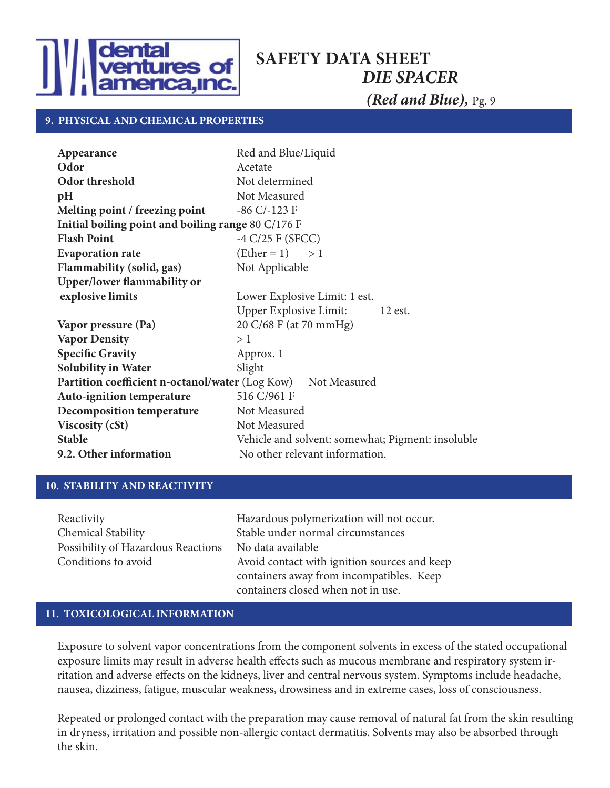

#### **9. PHYSICAL AND CHEMICAL PROPERTIES**

| Appearance                                                          | Red and Blue/Liquid                               |  |  |
|---------------------------------------------------------------------|---------------------------------------------------|--|--|
| Odor                                                                | Acetate                                           |  |  |
| Odor threshold                                                      | Not determined                                    |  |  |
| pH                                                                  | Not Measured                                      |  |  |
| Melting point / freezing point                                      | $-86$ C/ $-123$ F                                 |  |  |
| Initial boiling point and boiling range 80 C/176 F                  |                                                   |  |  |
| <b>Flash Point</b>                                                  | $-4$ C/25 F (SFCC)                                |  |  |
| <b>Evaporation rate</b>                                             | $(Ether = 1) > 1$                                 |  |  |
| <b>Flammability (solid, gas)</b>                                    | Not Applicable                                    |  |  |
| <b>Upper/lower flammability or</b>                                  |                                                   |  |  |
| explosive limits                                                    | Lower Explosive Limit: 1 est.                     |  |  |
|                                                                     | Upper Explosive Limit:<br>$12$ est.               |  |  |
| Vapor pressure (Pa)                                                 | 20 C/68 F (at 70 mmHg)                            |  |  |
| <b>Vapor Density</b>                                                | >1                                                |  |  |
| <b>Specific Gravity</b>                                             | Approx. 1                                         |  |  |
| <b>Solubility in Water</b>                                          | Slight                                            |  |  |
| <b>Partition coefficient n-octanol/water (Log Kow)</b> Not Measured |                                                   |  |  |
| Auto-ignition temperature                                           | 516 C/961 F                                       |  |  |
| <b>Decomposition temperature</b>                                    | Not Measured                                      |  |  |
| <b>Viscosity (cSt)</b>                                              | Not Measured                                      |  |  |
| <b>Stable</b>                                                       | Vehicle and solvent: somewhat; Pigment: insoluble |  |  |
| 9.2. Other information                                              | No other relevant information.                    |  |  |

#### **10. STABILITY AND REACTIVITY**

| Reactivity                         | Hazardous polymerization will not occur.     |
|------------------------------------|----------------------------------------------|
| Chemical Stability                 | Stable under normal circumstances            |
| Possibility of Hazardous Reactions | No data available                            |
| Conditions to avoid                | Avoid contact with ignition sources and keep |
|                                    | containers away from incompatibles. Keep     |
|                                    | containers closed when not in use.           |

#### **11. TOXICOLOGICAL INFORMATION**

Exposure to solvent vapor concentrations from the component solvents in excess of the stated occupational exposure limits may result in adverse health effects such as mucous membrane and respiratory system irritation and adverse effects on the kidneys, liver and central nervous system. Symptoms include headache, nausea, dizziness, fatigue, muscular weakness, drowsiness and in extreme cases, loss of consciousness.

Repeated or prolonged contact with the preparation may cause removal of natural fat from the skin resulting in dryness, irritation and possible non-allergic contact dermatitis. Solvents may also be absorbed through the skin.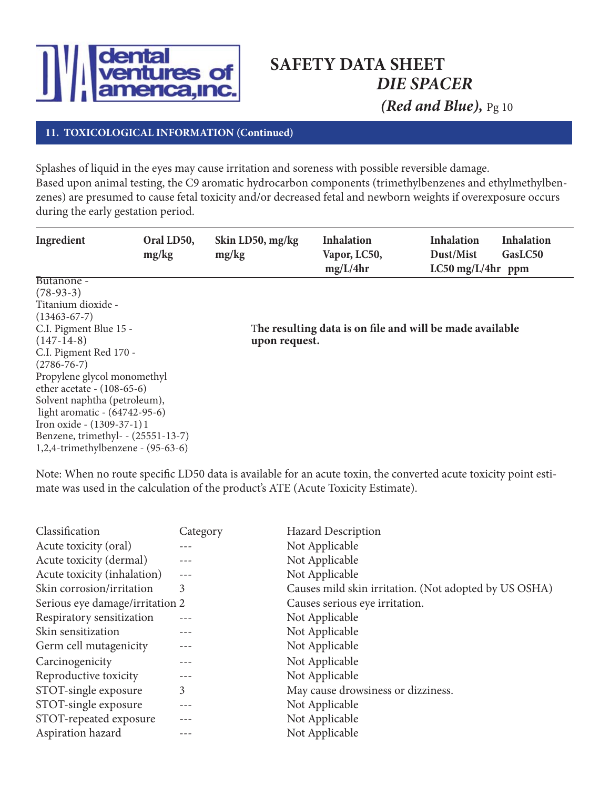

### **11. TOXICOLOGICAL INFORMATION (Continued)**

Splashes of liquid in the eyes may cause irritation and soreness with possible reversible damage. Based upon animal testing, the C9 aromatic hydrocarbon components (trimethylbenzenes and ethylmethylbenzenes) are presumed to cause fetal toxicity and/or decreased fetal and newborn weights if overexposure occurs during the early gestation period.

| Ingredient                            | Oral LD50,<br>mg/kg | Skin LD50, mg/kg<br>mg/kg | <b>Inhalation</b><br>Vapor, LC50,<br>mg/L/4hr            | <b>Inhalation</b><br>Dust/Mist<br>$LC50$ mg/L/4hr ppm | <b>Inhalation</b><br>GasLC50 |
|---------------------------------------|---------------------|---------------------------|----------------------------------------------------------|-------------------------------------------------------|------------------------------|
| Butanone -                            |                     |                           |                                                          |                                                       |                              |
| $(78-93-3)$                           |                     |                           |                                                          |                                                       |                              |
| Titanium dioxide -                    |                     |                           |                                                          |                                                       |                              |
| $(13463-67-7)$                        |                     |                           |                                                          |                                                       |                              |
| C.I. Pigment Blue 15 -                |                     |                           | The resulting data is on file and will be made available |                                                       |                              |
| $(147-14-8)$                          |                     | upon request.             |                                                          |                                                       |                              |
| C.I. Pigment Red 170 -                |                     |                           |                                                          |                                                       |                              |
| $(2786 - 76 - 7)$                     |                     |                           |                                                          |                                                       |                              |
| Propylene glycol monomethyl           |                     |                           |                                                          |                                                       |                              |
| ether acetate - $(108-65-6)$          |                     |                           |                                                          |                                                       |                              |
| Solvent naphtha (petroleum),          |                     |                           |                                                          |                                                       |                              |
| light aromatic - (64742-95-6)         |                     |                           |                                                          |                                                       |                              |
| Iron oxide - (1309-37-1) 1            |                     |                           |                                                          |                                                       |                              |
| Benzene, trimethyl- - (25551-13-7)    |                     |                           |                                                          |                                                       |                              |
| $1,2,4$ -trimethylbenzene - (95-63-6) |                     |                           |                                                          |                                                       |                              |

Note: When no route specific LD50 data is available for an acute toxin, the converted acute toxicity point estimate was used in the calculation of the product's ATE (Acute Toxicity Estimate).

| Classification                  | Category | <b>Hazard Description</b>                             |
|---------------------------------|----------|-------------------------------------------------------|
| Acute toxicity (oral)           |          | Not Applicable                                        |
| Acute toxicity (dermal)         |          | Not Applicable                                        |
| Acute toxicity (inhalation)     | $---$    | Not Applicable                                        |
| Skin corrosion/irritation       | 3        | Causes mild skin irritation. (Not adopted by US OSHA) |
| Serious eye damage/irritation 2 |          | Causes serious eye irritation.                        |
| Respiratory sensitization       |          | Not Applicable                                        |
| Skin sensitization              |          | Not Applicable                                        |
| Germ cell mutagenicity          |          | Not Applicable                                        |
| Carcinogenicity                 |          | Not Applicable                                        |
| Reproductive toxicity           |          | Not Applicable                                        |
| STOT-single exposure            | 3        | May cause drowsiness or dizziness.                    |
| STOT-single exposure            |          | Not Applicable                                        |
| STOT-repeated exposure          |          | Not Applicable                                        |
| Aspiration hazard               |          | Not Applicable                                        |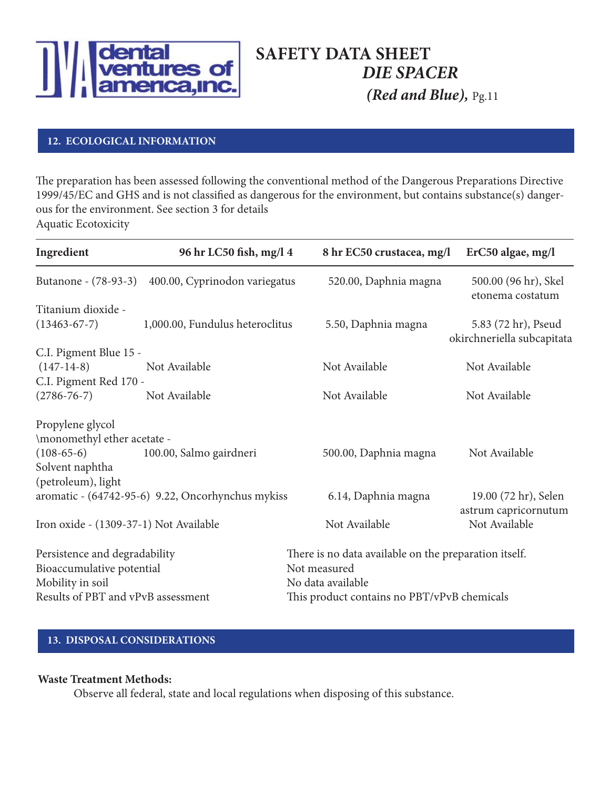

#### **12. ECOLOGICAL INFORMATION**

The preparation has been assessed following the conventional method of the Dangerous Preparations Directive 1999/45/EC and GHS and is not classified as dangerous for the environment, but contains substance(s) dangerous for the environment. See section 3 for details Aquatic Ecotoxicity

| Ingredient                                                                     | 96 hr LC50 fish, mg/l 4                           | 8 hr EC50 crustacea, mg/l                                                                  | ErC50 algae, mg/l                                 |  |  |
|--------------------------------------------------------------------------------|---------------------------------------------------|--------------------------------------------------------------------------------------------|---------------------------------------------------|--|--|
| Butanone - (78-93-3)                                                           | 400.00, Cyprinodon variegatus                     | 520.00, Daphnia magna                                                                      | 500.00 (96 hr), Skel<br>etonema costatum          |  |  |
| Titanium dioxide -                                                             |                                                   |                                                                                            |                                                   |  |  |
| $(13463-67-7)$                                                                 | 1,000.00, Fundulus heteroclitus                   | 5.50, Daphnia magna                                                                        | 5.83 (72 hr), Pseud<br>okirchneriella subcapitata |  |  |
| C.I. Pigment Blue 15 -                                                         |                                                   |                                                                                            |                                                   |  |  |
| $(147-14-8)$                                                                   | Not Available                                     | Not Available                                                                              | Not Available                                     |  |  |
| C.I. Pigment Red 170 -                                                         |                                                   |                                                                                            |                                                   |  |  |
| $(2786 - 76 - 7)$                                                              | Not Available                                     | Not Available                                                                              | Not Available                                     |  |  |
| Propylene glycol                                                               |                                                   |                                                                                            |                                                   |  |  |
| \monomethyl ether acetate -                                                    |                                                   |                                                                                            |                                                   |  |  |
| $(108-65-6)$                                                                   | 100.00, Salmo gairdneri                           | 500.00, Daphnia magna                                                                      | Not Available                                     |  |  |
| Solvent naphtha                                                                |                                                   |                                                                                            |                                                   |  |  |
| (petroleum), light                                                             |                                                   |                                                                                            |                                                   |  |  |
|                                                                                | aromatic - (64742-95-6) 9.22, Oncorhynchus mykiss | 6.14, Daphnia magna                                                                        | 19.00 (72 hr), Selen<br>astrum capricornutum      |  |  |
| Iron oxide - (1309-37-1) Not Available                                         |                                                   | Not Available                                                                              | Not Available                                     |  |  |
| Persistence and degradability<br>Bioaccumulative potential<br>Mobility in soil |                                                   | There is no data available on the preparation itself.<br>Not measured<br>No data available |                                                   |  |  |
| Results of PBT and vPvB assessment                                             |                                                   | This product contains no PBT/vPvB chemicals                                                |                                                   |  |  |

### **13. DISPOSAL CONSIDERATIONS**

#### **Waste Treatment Methods:**

Observe all federal, state and local regulations when disposing of this substance.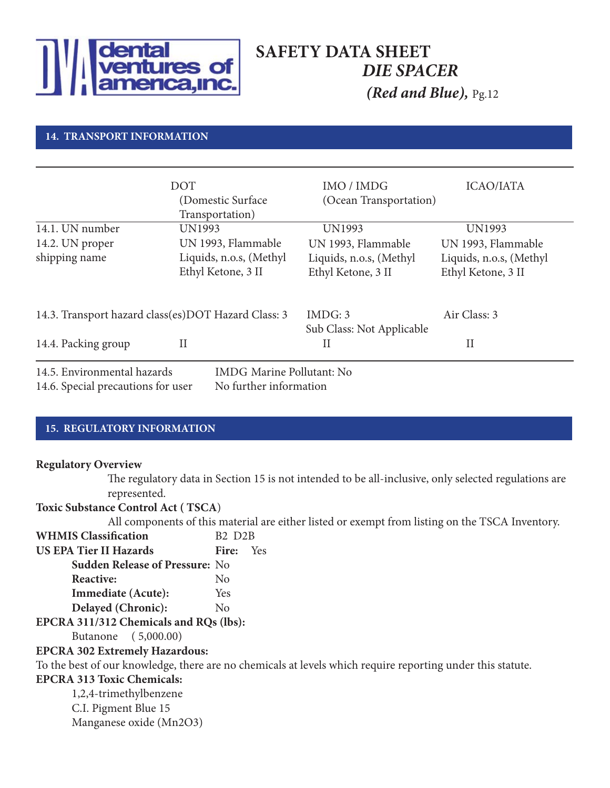

#### **14. TRANSPORT INFORMATION**

|                                    | <b>DOT</b>                                          | IMO / IMDG                | <b>ICAO/IATA</b>        |
|------------------------------------|-----------------------------------------------------|---------------------------|-------------------------|
|                                    | (Domestic Surface)<br>Transportation)               | (Ocean Transportation)    |                         |
| 14.1. UN number                    | UN1993                                              | UN1993                    | UN1993                  |
| 14.2. UN proper                    | UN 1993, Flammable                                  | UN 1993, Flammable        | UN 1993, Flammable      |
| shipping name                      | Liquids, n.o.s, (Methyl                             | Liquids, n.o.s, (Methyl   | Liquids, n.o.s, (Methyl |
|                                    | Ethyl Ketone, 3 II                                  | Ethyl Ketone, 3 II        | Ethyl Ketone, 3 II      |
|                                    | 14.3. Transport hazard class(es)DOT Hazard Class: 3 | IMDG: 3                   | Air Class: 3            |
|                                    |                                                     | Sub Class: Not Applicable |                         |
| 14.4. Packing group                | $_{\rm II}$                                         | $_{\rm II}$               | $_{\rm II}$             |
| 14.5. Environmental hazards        | <b>IMDG Marine Pollutant: No</b>                    |                           |                         |
| 14.6. Special precautions for user | No further information                              |                           |                         |

#### **15. REGULATORY INFORMATION**

#### **Regulatory Overview**

The regulatory data in Section 15 is not intended to be all-inclusive, only selected regulations are represented.

#### **Toxic Substance Control Act ( TSCA**)

All components of this material are either listed or exempt from listing on the TSCA Inventory.

| <b>WHMIS Classification</b>            | <b>B2 D2B</b>  |     |
|----------------------------------------|----------------|-----|
| <b>US EPA Tier II Hazards</b>          | Fire:          | Yes |
| <b>Sudden Release of Pressure: No</b>  |                |     |
| Reactive:                              | N <sub>0</sub> |     |
| Immediate (Acute):                     | Yes            |     |
| Delayed (Chronic):                     | $\rm No$       |     |
| EPCRA 311/312 Chemicals and RQs (lbs): |                |     |

Butanone ( 5,000.00)

#### **EPCRA 302 Extremely Hazardous:**

To the best of our knowledge, there are no chemicals at levels which require reporting under this statute.

#### **EPCRA 313 Toxic Chemicals:**

1,2,4-trimethylbenzene C.I. Pigment Blue 15 Manganese oxide (Mn2O3)